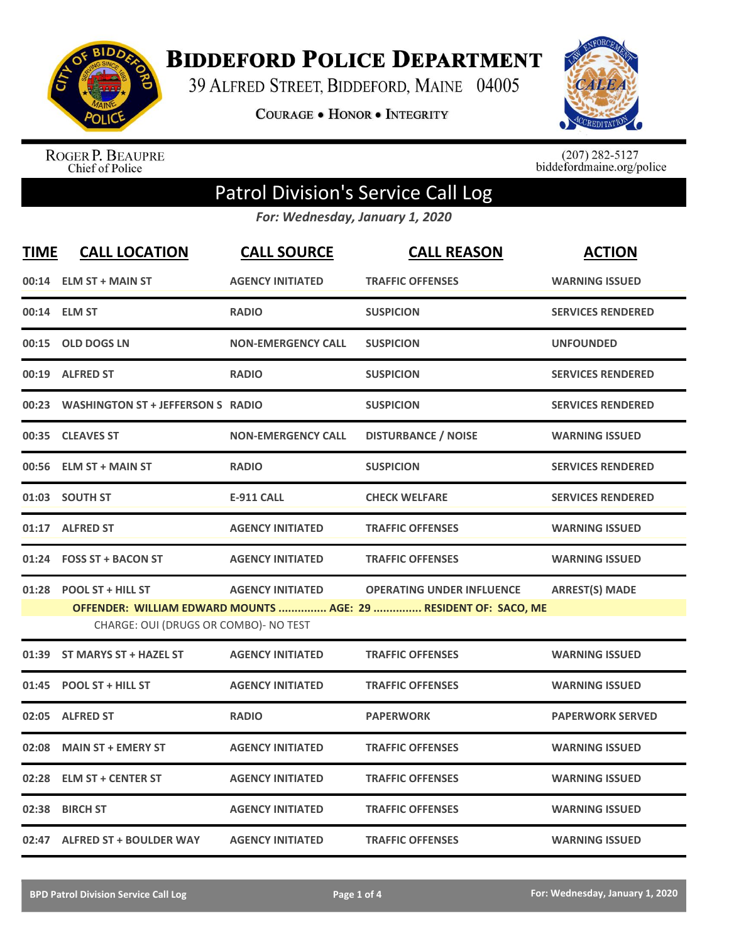

**BIDDEFORD POLICE DEPARTMENT** 

39 ALFRED STREET, BIDDEFORD, MAINE 04005

**COURAGE . HONOR . INTEGRITY** 



ROGER P. BEAUPRE<br>Chief of Police

 $(207)$  282-5127<br>biddefordmaine.org/police

## Patrol Division's Service Call Log

*For: Wednesday, January 1, 2020*

| <b>TIME</b> | <b>CALL LOCATION</b>                                              | <b>CALL SOURCE</b>        | <b>CALL REASON</b>                                                                                  | <b>ACTION</b>            |
|-------------|-------------------------------------------------------------------|---------------------------|-----------------------------------------------------------------------------------------------------|--------------------------|
|             | 00:14 ELM ST + MAIN ST                                            | <b>AGENCY INITIATED</b>   | <b>TRAFFIC OFFENSES</b>                                                                             | <b>WARNING ISSUED</b>    |
|             | 00:14 ELM ST                                                      | <b>RADIO</b>              | <b>SUSPICION</b>                                                                                    | <b>SERVICES RENDERED</b> |
| 00:15       | <b>OLD DOGS LN</b>                                                | <b>NON-EMERGENCY CALL</b> | <b>SUSPICION</b>                                                                                    | <b>UNFOUNDED</b>         |
|             | 00:19 ALFRED ST                                                   | <b>RADIO</b>              | <b>SUSPICION</b>                                                                                    | <b>SERVICES RENDERED</b> |
|             | 00:23 WASHINGTON ST + JEFFERSON S RADIO                           |                           | <b>SUSPICION</b>                                                                                    | <b>SERVICES RENDERED</b> |
|             | 00:35 CLEAVES ST                                                  | <b>NON-EMERGENCY CALL</b> | <b>DISTURBANCE / NOISE</b>                                                                          | <b>WARNING ISSUED</b>    |
| 00:56       | <b>ELM ST + MAIN ST</b>                                           | <b>RADIO</b>              | <b>SUSPICION</b>                                                                                    | <b>SERVICES RENDERED</b> |
|             | 01:03 SOUTH ST                                                    | <b>E-911 CALL</b>         | <b>CHECK WELFARE</b>                                                                                | <b>SERVICES RENDERED</b> |
|             | 01:17 ALFRED ST                                                   | <b>AGENCY INITIATED</b>   | <b>TRAFFIC OFFENSES</b>                                                                             | <b>WARNING ISSUED</b>    |
|             | 01:24 FOSS ST + BACON ST                                          | <b>AGENCY INITIATED</b>   | <b>TRAFFIC OFFENSES</b>                                                                             | <b>WARNING ISSUED</b>    |
| 01:28       | <b>POOL ST + HILL ST</b><br>CHARGE: OUI (DRUGS OR COMBO)- NO TEST | <b>AGENCY INITIATED</b>   | <b>OPERATING UNDER INFLUENCE</b><br>OFFENDER: WILLIAM EDWARD MOUNTS  AGE: 29  RESIDENT OF: SACO, ME | <b>ARREST(S) MADE</b>    |
| 01:39       | <b>ST MARYS ST + HAZEL ST</b>                                     | <b>AGENCY INITIATED</b>   | <b>TRAFFIC OFFENSES</b>                                                                             | <b>WARNING ISSUED</b>    |
| 01:45       | <b>POOL ST + HILL ST</b>                                          | <b>AGENCY INITIATED</b>   | <b>TRAFFIC OFFENSES</b>                                                                             | <b>WARNING ISSUED</b>    |
| 02:05       | <b>ALFRED ST</b>                                                  | <b>RADIO</b>              | <b>PAPERWORK</b>                                                                                    | <b>PAPERWORK SERVED</b>  |
| 02:08       | <b>MAIN ST + EMERY ST</b>                                         | <b>AGENCY INITIATED</b>   | <b>TRAFFIC OFFENSES</b>                                                                             | <b>WARNING ISSUED</b>    |
| 02:28       | <b>ELM ST + CENTER ST</b>                                         | <b>AGENCY INITIATED</b>   | <b>TRAFFIC OFFENSES</b>                                                                             | <b>WARNING ISSUED</b>    |
| 02:38       | <b>BIRCH ST</b>                                                   | <b>AGENCY INITIATED</b>   | <b>TRAFFIC OFFENSES</b>                                                                             | <b>WARNING ISSUED</b>    |
|             | 02:47 ALFRED ST + BOULDER WAY                                     | <b>AGENCY INITIATED</b>   | <b>TRAFFIC OFFENSES</b>                                                                             | <b>WARNING ISSUED</b>    |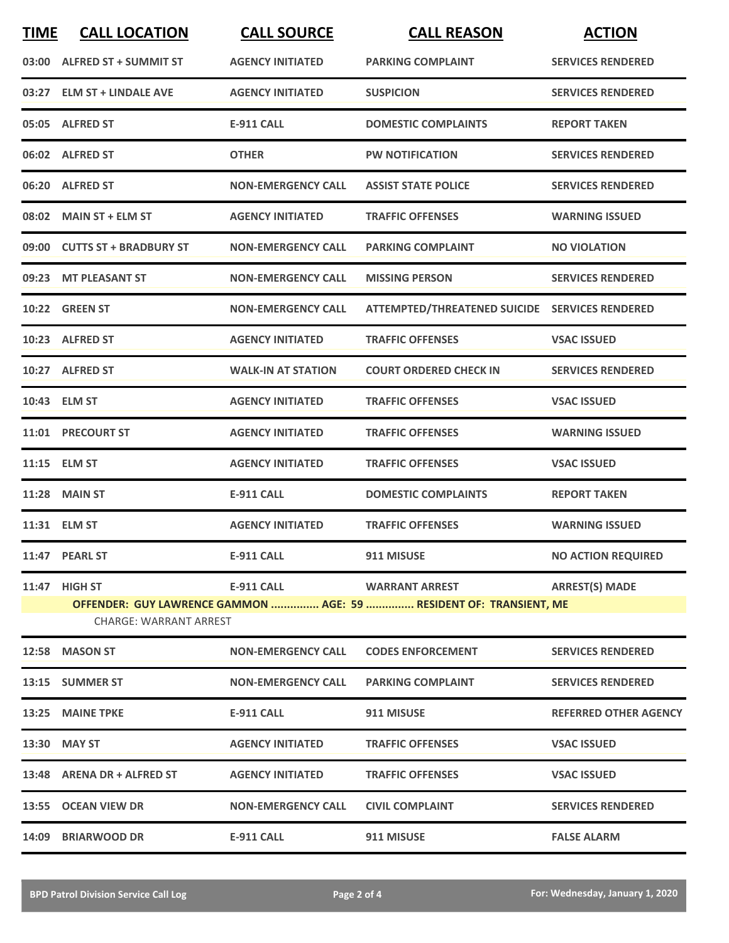| <b>TIME</b> | <b>CALL LOCATION</b>          | <b>CALL SOURCE</b>        | <b>CALL REASON</b>                                                 | <b>ACTION</b>                |
|-------------|-------------------------------|---------------------------|--------------------------------------------------------------------|------------------------------|
|             | 03:00 ALFRED ST + SUMMIT ST   | <b>AGENCY INITIATED</b>   | <b>PARKING COMPLAINT</b>                                           | <b>SERVICES RENDERED</b>     |
|             | 03:27 ELM ST + LINDALE AVE    | <b>AGENCY INITIATED</b>   | <b>SUSPICION</b>                                                   | <b>SERVICES RENDERED</b>     |
|             | 05:05 ALFRED ST               | E-911 CALL                | <b>DOMESTIC COMPLAINTS</b>                                         | <b>REPORT TAKEN</b>          |
|             | 06:02 ALFRED ST               | <b>OTHER</b>              | <b>PW NOTIFICATION</b>                                             | <b>SERVICES RENDERED</b>     |
|             | 06:20 ALFRED ST               | <b>NON-EMERGENCY CALL</b> | <b>ASSIST STATE POLICE</b>                                         | <b>SERVICES RENDERED</b>     |
|             | 08:02 MAIN ST + ELM ST        | <b>AGENCY INITIATED</b>   | <b>TRAFFIC OFFENSES</b>                                            | <b>WARNING ISSUED</b>        |
|             | 09:00 CUTTS ST + BRADBURY ST  | <b>NON-EMERGENCY CALL</b> | <b>PARKING COMPLAINT</b>                                           | <b>NO VIOLATION</b>          |
|             | 09:23 MT PLEASANT ST          | <b>NON-EMERGENCY CALL</b> | <b>MISSING PERSON</b>                                              | <b>SERVICES RENDERED</b>     |
|             | <b>10:22 GREEN ST</b>         | <b>NON-EMERGENCY CALL</b> | ATTEMPTED/THREATENED SUICIDE SERVICES RENDERED                     |                              |
|             | 10:23 ALFRED ST               | <b>AGENCY INITIATED</b>   | <b>TRAFFIC OFFENSES</b>                                            | <b>VSAC ISSUED</b>           |
|             | 10:27 ALFRED ST               | <b>WALK-IN AT STATION</b> | <b>COURT ORDERED CHECK IN</b>                                      | <b>SERVICES RENDERED</b>     |
|             | 10:43 ELM ST                  | <b>AGENCY INITIATED</b>   | <b>TRAFFIC OFFENSES</b>                                            | <b>VSAC ISSUED</b>           |
|             | 11:01 PRECOURT ST             | <b>AGENCY INITIATED</b>   | <b>TRAFFIC OFFENSES</b>                                            | <b>WARNING ISSUED</b>        |
|             | 11:15 ELM ST                  | <b>AGENCY INITIATED</b>   | <b>TRAFFIC OFFENSES</b>                                            | <b>VSAC ISSUED</b>           |
|             | <b>11:28 MAIN ST</b>          | <b>E-911 CALL</b>         | <b>DOMESTIC COMPLAINTS</b>                                         | <b>REPORT TAKEN</b>          |
|             | 11:31 ELM ST                  | <b>AGENCY INITIATED</b>   | <b>TRAFFIC OFFENSES</b>                                            | <b>WARNING ISSUED</b>        |
|             | 11:47 PEARL ST                | <b>E-911 CALL</b>         | 911 MISUSE                                                         | <b>NO ACTION REQUIRED</b>    |
|             | 11:47 HIGH ST                 |                           | E-911 CALL WARRANT ARREST                                          | <b>ARREST(S) MADE</b>        |
|             | <b>CHARGE: WARRANT ARREST</b> |                           | OFFENDER: GUY LAWRENCE GAMMON  AGE: 59  RESIDENT OF: TRANSIENT, ME |                              |
|             | 12:58 MASON ST                | <b>NON-EMERGENCY CALL</b> | <b>CODES ENFORCEMENT</b>                                           | <b>SERVICES RENDERED</b>     |
|             | 13:15 SUMMER ST               | <b>NON-EMERGENCY CALL</b> | <b>PARKING COMPLAINT</b>                                           | <b>SERVICES RENDERED</b>     |
|             | 13:25 MAINE TPKE              | <b>E-911 CALL</b>         | 911 MISUSE                                                         | <b>REFERRED OTHER AGENCY</b> |
|             | 13:30 MAY ST                  | <b>AGENCY INITIATED</b>   | <b>TRAFFIC OFFENSES</b>                                            | <b>VSAC ISSUED</b>           |
|             | 13:48 ARENA DR + ALFRED ST    | <b>AGENCY INITIATED</b>   | <b>TRAFFIC OFFENSES</b>                                            | <b>VSAC ISSUED</b>           |
|             | 13:55 OCEAN VIEW DR           | <b>NON-EMERGENCY CALL</b> | <b>CIVIL COMPLAINT</b>                                             | <b>SERVICES RENDERED</b>     |
|             | 14:09 BRIARWOOD DR            | <b>E-911 CALL</b>         | 911 MISUSE                                                         | <b>FALSE ALARM</b>           |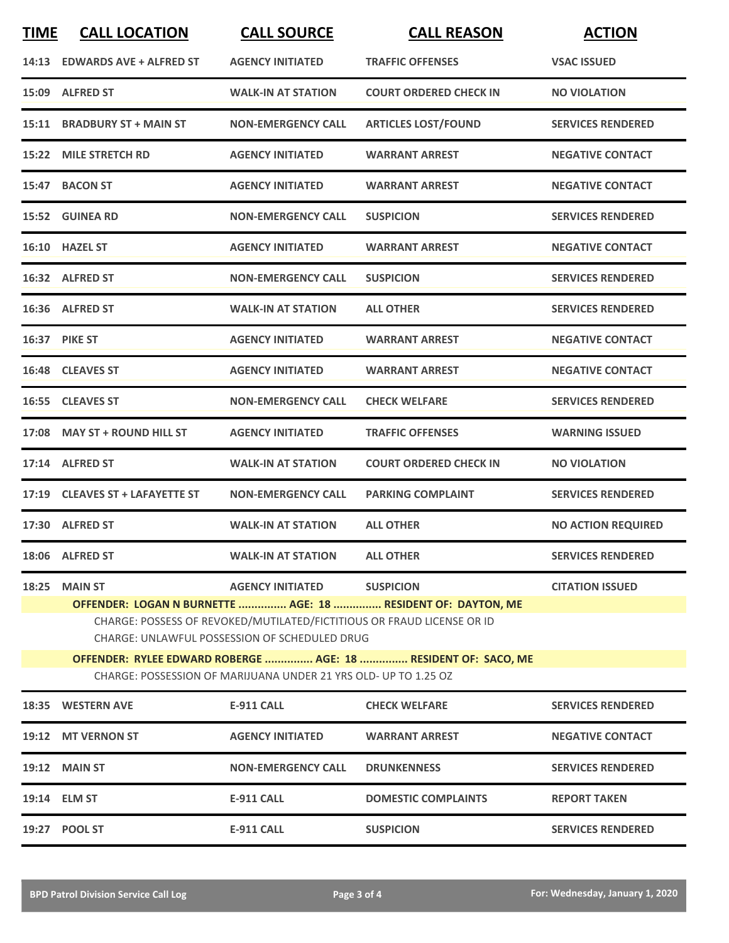| <b>TIME</b> | <b>CALL LOCATION</b>                                                                                                           | <b>CALL SOURCE</b>                                              | <b>CALL REASON</b>                                           | <b>ACTION</b>             |  |
|-------------|--------------------------------------------------------------------------------------------------------------------------------|-----------------------------------------------------------------|--------------------------------------------------------------|---------------------------|--|
|             | 14:13 EDWARDS AVE + ALFRED ST                                                                                                  | <b>AGENCY INITIATED</b>                                         | <b>TRAFFIC OFFENSES</b>                                      | <b>VSAC ISSUED</b>        |  |
|             | 15:09 ALFRED ST                                                                                                                | <b>WALK-IN AT STATION</b>                                       | <b>COURT ORDERED CHECK IN</b>                                | <b>NO VIOLATION</b>       |  |
|             | 15:11 BRADBURY ST + MAIN ST                                                                                                    | <b>NON-EMERGENCY CALL</b>                                       | <b>ARTICLES LOST/FOUND</b>                                   | <b>SERVICES RENDERED</b>  |  |
|             | 15:22 MILE STRETCH RD                                                                                                          | <b>AGENCY INITIATED</b>                                         | <b>WARRANT ARREST</b>                                        | <b>NEGATIVE CONTACT</b>   |  |
|             | 15:47 BACON ST                                                                                                                 | <b>AGENCY INITIATED</b>                                         | <b>WARRANT ARREST</b>                                        | <b>NEGATIVE CONTACT</b>   |  |
|             | 15:52 GUINEA RD                                                                                                                | <b>NON-EMERGENCY CALL</b>                                       | <b>SUSPICION</b>                                             | <b>SERVICES RENDERED</b>  |  |
|             | 16:10 HAZEL ST                                                                                                                 | <b>AGENCY INITIATED</b>                                         | <b>WARRANT ARREST</b>                                        | <b>NEGATIVE CONTACT</b>   |  |
|             | 16:32 ALFRED ST                                                                                                                | <b>NON-EMERGENCY CALL</b>                                       | <b>SUSPICION</b>                                             | <b>SERVICES RENDERED</b>  |  |
|             | 16:36 ALFRED ST                                                                                                                | <b>WALK-IN AT STATION</b>                                       | <b>ALL OTHER</b>                                             | <b>SERVICES RENDERED</b>  |  |
|             | <b>16:37 PIKE ST</b>                                                                                                           | <b>AGENCY INITIATED</b>                                         | <b>WARRANT ARREST</b>                                        | <b>NEGATIVE CONTACT</b>   |  |
|             | 16:48 CLEAVES ST                                                                                                               | <b>AGENCY INITIATED</b>                                         | <b>WARRANT ARREST</b>                                        | <b>NEGATIVE CONTACT</b>   |  |
|             | 16:55 CLEAVES ST                                                                                                               | <b>NON-EMERGENCY CALL</b>                                       | <b>CHECK WELFARE</b>                                         | <b>SERVICES RENDERED</b>  |  |
|             | 17:08 MAY ST + ROUND HILL ST                                                                                                   | <b>AGENCY INITIATED</b>                                         | <b>TRAFFIC OFFENSES</b>                                      | <b>WARNING ISSUED</b>     |  |
|             | 17:14 ALFRED ST                                                                                                                | <b>WALK-IN AT STATION</b>                                       | <b>COURT ORDERED CHECK IN</b>                                | <b>NO VIOLATION</b>       |  |
|             | 17:19 CLEAVES ST + LAFAYETTE ST                                                                                                | <b>NON-EMERGENCY CALL</b>                                       | <b>PARKING COMPLAINT</b>                                     | <b>SERVICES RENDERED</b>  |  |
|             | 17:30 ALFRED ST                                                                                                                | <b>WALK-IN AT STATION</b>                                       | <b>ALL OTHER</b>                                             | <b>NO ACTION REQUIRED</b> |  |
|             | 18:06 ALFRED ST                                                                                                                | <b>WALK-IN AT STATION</b>                                       | <b>ALL OTHER</b>                                             | <b>SERVICES RENDERED</b>  |  |
| 18:25       | <b>MAIN ST</b>                                                                                                                 | <b>AGENCY INITIATED</b>                                         | <b>SUSPICION</b>                                             | <b>CITATION ISSUED</b>    |  |
|             |                                                                                                                                |                                                                 | OFFENDER: LOGAN N BURNETTE  AGE: 18  RESIDENT OF: DAYTON, ME |                           |  |
|             | CHARGE: POSSESS OF REVOKED/MUTILATED/FICTITIOUS OR FRAUD LICENSE OR ID<br><b>CHARGE: UNLAWFUL POSSESSION OF SCHEDULED DRUG</b> |                                                                 |                                                              |                           |  |
|             | OFFENDER: RYLEE EDWARD ROBERGE  AGE: 18  RESIDENT OF: SACO, ME                                                                 |                                                                 |                                                              |                           |  |
|             |                                                                                                                                | CHARGE: POSSESSION OF MARIJUANA UNDER 21 YRS OLD- UP TO 1.25 OZ |                                                              |                           |  |
| 18:35       | <b>WESTERN AVE</b>                                                                                                             | <b>E-911 CALL</b>                                               | <b>CHECK WELFARE</b>                                         | <b>SERVICES RENDERED</b>  |  |
|             | 19:12 MT VERNON ST                                                                                                             | <b>AGENCY INITIATED</b>                                         | <b>WARRANT ARREST</b>                                        | <b>NEGATIVE CONTACT</b>   |  |
|             | <b>19:12 MAIN ST</b>                                                                                                           | <b>NON-EMERGENCY CALL</b>                                       | <b>DRUNKENNESS</b>                                           | <b>SERVICES RENDERED</b>  |  |
|             | 19:14 ELM ST                                                                                                                   | <b>E-911 CALL</b>                                               | <b>DOMESTIC COMPLAINTS</b>                                   | <b>REPORT TAKEN</b>       |  |
|             | 19:27 POOL ST                                                                                                                  | <b>E-911 CALL</b>                                               | <b>SUSPICION</b>                                             | <b>SERVICES RENDERED</b>  |  |